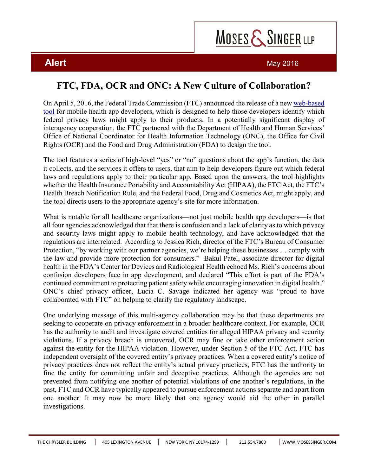## MOSES & SINGER LLP

**Alert** May 2016

## **FTC, FDA, OCR and ONC: A New Culture of Collaboration?**

On April 5, 2016, the Federal Trade Commission (FTC) announced the release of a new web-based tool for mobile health app developers, which is designed to help those developers identify which federal privacy laws might apply to their products. In a potentially significant display of interagency cooperation, the FTC partnered with the Department of Health and Human Services' Office of National Coordinator for Health Information Technology (ONC), the Office for Civil Rights (OCR) and the Food and Drug Administration (FDA) to design the tool.

The tool features a series of high-level "yes" or "no" questions about the app's function, the data it collects, and the services it offers to users, that aim to help developers figure out which federal laws and regulations apply to their particular app. Based upon the answers, the tool highlights whether the Health Insurance Portability and Accountability Act (HIPAA), the FTC Act, the FTC's Health Breach Notification Rule, and the Federal Food, Drug and Cosmetics Act, might apply, and the tool directs users to the appropriate agency's site for more information.

What is notable for all healthcare organizations—not just mobile health app developers—is that all four agencies acknowledged that that there is confusion and a lack of clarity as to which privacy and security laws might apply to mobile health technology, and have acknowledged that the regulations are interrelated. According to Jessica Rich, director of the FTC's Bureau of Consumer Protection, "by working with our partner agencies, we're helping these businesses … comply with the law and provide more protection for consumers." Bakul Patel, associate director for digital health in the FDA's Center for Devices and Radiological Health echoed Ms. Rich's concerns about confusion developers face in app development, and declared "This effort is part of the FDA's continued commitment to protecting patient safety while encouraging innovation in digital health." ONC's chief privacy officer, Lucia C. Savage indicated her agency was "proud to have collaborated with FTC" on helping to clarify the regulatory landscape.

One underlying message of this multi-agency collaboration may be that these departments are seeking to cooperate on privacy enforcement in a broader healthcare context. For example, OCR has the authority to audit and investigate covered entities for alleged HIPAA privacy and security violations. If a privacy breach is uncovered, OCR may fine or take other enforcement action against the entity for the HIPAA violation. However, under Section 5 of the FTC Act, FTC has independent oversight of the covered entity's privacy practices. When a covered entity's notice of privacy practices does not reflect the entity's actual privacy practices, FTC has the authority to fine the entity for committing unfair and deceptive practices. Although the agencies are not prevented from notifying one another of potential violations of one another's regulations, in the past, FTC and OCR have typically appeared to pursue enforcement actions separate and apart from one another. It may now be more likely that one agency would aid the other in parallel investigations.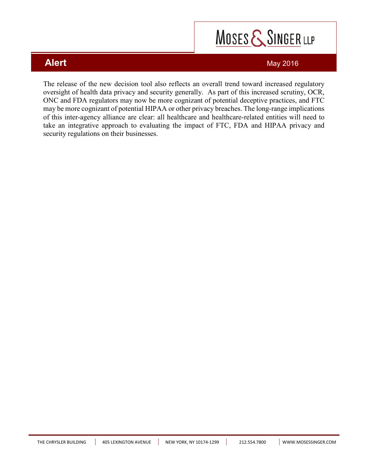# MOSES & SINGER LLP

### **Alert** May 2016

The release of the new decision tool also reflects an overall trend toward increased regulatory oversight of health data privacy and security generally. As part of this increased scrutiny, OCR, ONC and FDA regulators may now be more cognizant of potential deceptive practices, and FTC may be more cognizant of potential HIPAA or other privacy breaches. The long-range implications of this inter-agency alliance are clear: all healthcare and healthcare-related entities will need to take an integrative approach to evaluating the impact of FTC, FDA and HIPAA privacy and security regulations on their businesses.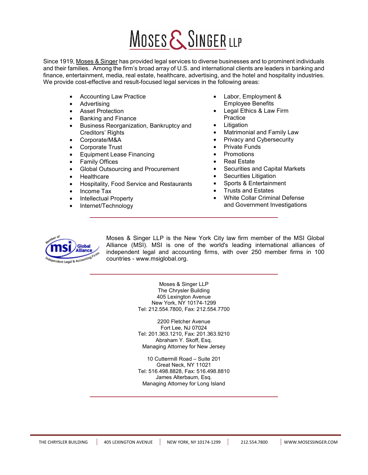# MOSES & SINGER LLP

Since 1919, Moses & Singer has provided legal services to diverse businesses and to prominent individuals and their families. Among the firm's broad array of U.S. and international clients are leaders in banking and finance, entertainment, media, real estate, healthcare, advertising, and the hotel and hospitality industries. We provide cost-effective and result-focused legal services in the following areas:

- Accounting Law Practice
- Advertising
- **Asset Protection**
- Banking and Finance
- Business Reorganization, Bankruptcy and Creditors' Rights
- Corporate/M&A
- Corporate Trust
- Equipment Lease Financing
- **Family Offices**
- Global Outsourcing and Procurement
- **Healthcare**
- Hospitality, Food Service and Restaurants
- Income Tax
- Intellectual Property
- Internet/Technology
- Labor, Employment & Employee Benefits
- Legal Ethics & Law Firm Practice
- **Litigation**
- Matrimonial and Family Law
- Privacy and Cybersecurity
- Private Funds
- Promotions
- **Real Estate**
- Securities and Capital Markets
- Securities Litigation
- Sports & Entertainment
- Trusts and Estates
- White Collar Criminal Defense and Government Investigations



Moses & Singer LLP is the New York City law firm member of the MSI Global Alliance (MSI). MSI is one of the world's leading international alliances of independent legal and accounting firms, with over 250 member firms in 100 countries - www.msiglobal.org.

> Moses & Singer LLP The Chrysler Building 405 Lexington Avenue New York, NY 10174-1299 Tel: 212.554.7800, Fax: 212.554.7700

> 2200 Fletcher Avenue Fort Lee, NJ 07024 Tel: 201.363.1210, Fax: 201.363.9210 Abraham Y. Skoff, Esq. Managing Attorney for New Jersey

> 10 Cuttermill Road – Suite 201 Great Neck, NY 11021 Tel: 516.498.8828, Fax: 516.498.8810 James Alterbaum, Esq. Managing Attorney for Long Island